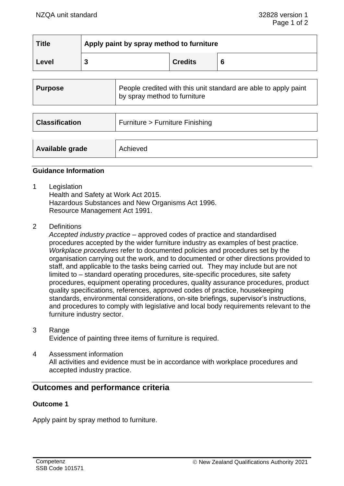| <b>Title</b> | Apply paint by spray method to furniture |                |  |  |
|--------------|------------------------------------------|----------------|--|--|
| Level        | G                                        | <b>Credits</b> |  |  |

| <b>Purpose</b>        | People credited with this unit standard are able to apply paint<br>by spray method to furniture |
|-----------------------|-------------------------------------------------------------------------------------------------|
| <b>Classification</b> | Furniture > Furniture Finishing                                                                 |
|                       |                                                                                                 |
| Available grade       | Achieved                                                                                        |

### **Guidance Information**

1 Legislation

Health and Safety at Work Act 2015. Hazardous Substances and New Organisms Act 1996. Resource Management Act 1991.

2 Definitions

*Accepted industry practice* – approved codes of practice and standardised procedures accepted by the wider furniture industry as examples of best practice. *Workplace procedures* refer to documented policies and procedures set by the organisation carrying out the work, and to documented or other directions provided to staff, and applicable to the tasks being carried out. They may include but are not limited to – standard operating procedures, site-specific procedures, site safety procedures, equipment operating procedures, quality assurance procedures, product quality specifications, references, approved codes of practice, housekeeping standards, environmental considerations, on-site briefings, supervisor's instructions, and procedures to comply with legislative and local body requirements relevant to the furniture industry sector.

3 Range

Evidence of painting three items of furniture is required.

4 Assessment information All activities and evidence must be in accordance with workplace procedures and accepted industry practice.

# **Outcomes and performance criteria**

# **Outcome 1**

Apply paint by spray method to furniture.